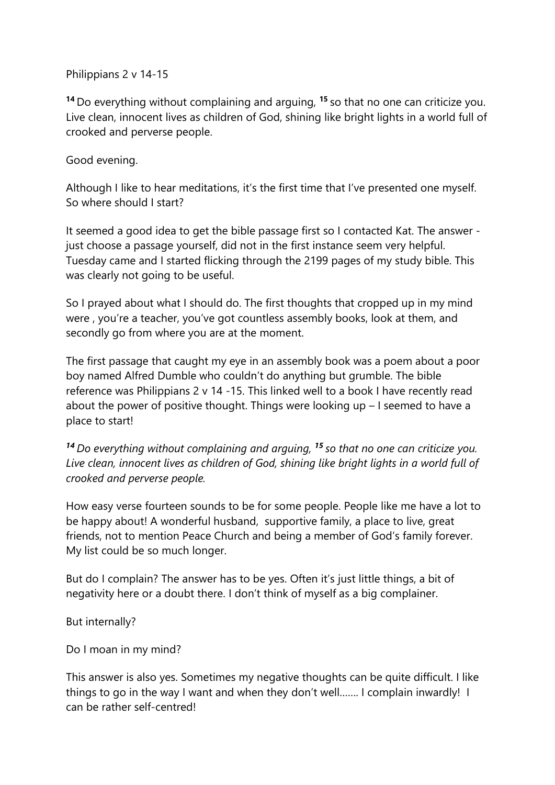## Philippians 2 v 14-15

**<sup>14</sup>** Do everything without complaining and arguing, **<sup>15</sup>** so that no one can criticize you. Live clean, innocent lives as children of God, shining like bright lights in a world full of crooked and perverse people.

## Good evening.

Although I like to hear meditations, it's the first time that I've presented one myself. So where should I start?

It seemed a good idea to get the bible passage first so I contacted Kat. The answer just choose a passage yourself, did not in the first instance seem very helpful. Tuesday came and I started flicking through the 2199 pages of my study bible. This was clearly not going to be useful.

So I prayed about what I should do. The first thoughts that cropped up in my mind were , you're a teacher, you've got countless assembly books, look at them, and secondly go from where you are at the moment.

The first passage that caught my eye in an assembly book was a poem about a poor boy named Alfred Dumble who couldn't do anything but grumble. The bible reference was Philippians 2 v 14 -15. This linked well to a book I have recently read about the power of positive thought. Things were looking up – I seemed to have a place to start!

*<sup>14</sup> Do everything without complaining and arguing, <sup>15</sup> so that no one can criticize you. Live clean, innocent lives as children of God, shining like bright lights in a world full of crooked and perverse people.*

How easy verse fourteen sounds to be for some people. People like me have a lot to be happy about! A wonderful husband, supportive family, a place to live, great friends, not to mention Peace Church and being a member of God's family forever. My list could be so much longer.

But do I complain? The answer has to be yes. Often it's just little things, a bit of negativity here or a doubt there. I don't think of myself as a big complainer.

But internally?

Do I moan in my mind?

This answer is also yes. Sometimes my negative thoughts can be quite difficult. I like things to go in the way I want and when they don't well……. I complain inwardly! I can be rather self-centred!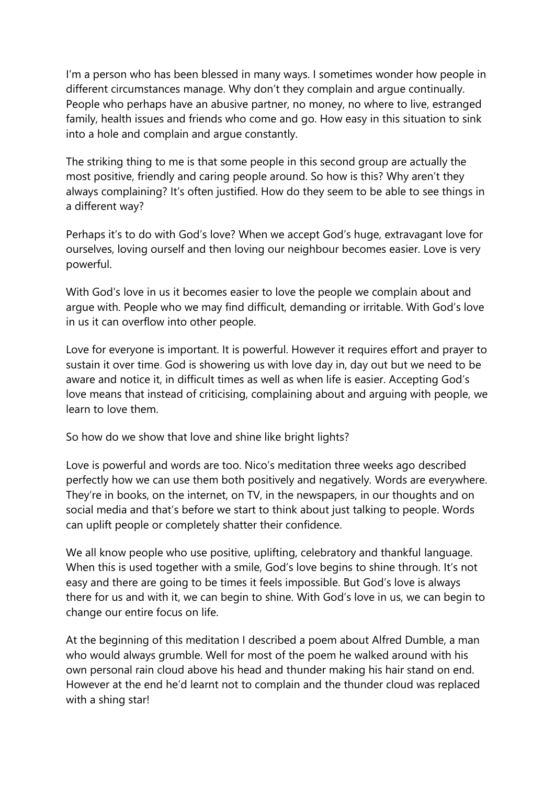I'm a person who has been blessed in many ways. I sometimes wonder how people in different circumstances manage. Why don't they complain and argue continually. People who perhaps have an abusive partner, no money, no where to live, estranged family, health issues and friends who come and go. How easy in this situation to sink into a hole and complain and argue constantly.

The striking thing to me is that some people in this second group are actually the most positive, friendly and caring people around. So how is this? Why aren't they always complaining? It's often justified. How do they seem to be able to see things in a different way?

Perhaps it's to do with God's love? When we accept God's huge, extravagant love for ourselves, loving ourself and then loving our neighbour becomes easier. Love is very powerful.

With God's love in us it becomes easier to love the people we complain about and argue with. People who we may find difficult, demanding or irritable. With God's love in us it can overflow into other people.

Love for everyone is important. It is powerful. However it requires effort and prayer to sustain it over time. God is showering us with love day in, day out but we need to be aware and notice it, in difficult times as well as when life is easier. Accepting God's love means that instead of criticising, complaining about and arguing with people, we learn to love them.

So how do we show that love and shine like bright lights?

Love is powerful and words are too. Nico's meditation three weeks ago described perfectly how we can use them both positively and negatively. Words are everywhere. They're in books, on the internet, on TV, in the newspapers, in our thoughts and on social media and that's before we start to think about just talking to people. Words can uplift people or completely shatter their confidence.

We all know people who use positive, uplifting, celebratory and thankful language. When this is used together with a smile, God's love begins to shine through. It's not easy and there are going to be times it feels impossible. But God's love is always there for us and with it, we can begin to shine. With God's love in us, we can begin to change our entire focus on life.

At the beginning of this meditation I described a poem about Alfred Dumble, a man who would always grumble. Well for most of the poem he walked around with his own personal rain cloud above his head and thunder making his hair stand on end. However at the end he'd learnt not to complain and the thunder cloud was replaced with a shing star!